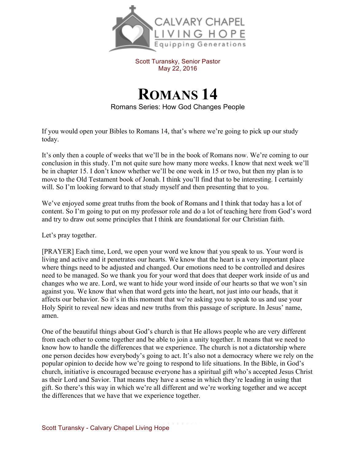

Scott Turansky, Senior Pastor May 22, 2016

**ROMANS 14** Romans Series: How God Changes People

If you would open your Bibles to Romans 14, that's where we're going to pick up our study today.

It's only then a couple of weeks that we'll be in the book of Romans now. We're coming to our conclusion in this study. I'm not quite sure how many more weeks. I know that next week we'll be in chapter 15. I don't know whether we'll be one week in 15 or two, but then my plan is to move to the Old Testament book of Jonah. I think you'll find that to be interesting. I certainly will. So I'm looking forward to that study myself and then presenting that to you.

We've enjoyed some great truths from the book of Romans and I think that today has a lot of content. So I'm going to put on my professor role and do a lot of teaching here from God's word and try to draw out some principles that I think are foundational for our Christian faith.

Let's pray together.

[PRAYER] Each time, Lord, we open your word we know that you speak to us. Your word is living and active and it penetrates our hearts. We know that the heart is a very important place where things need to be adjusted and changed. Our emotions need to be controlled and desires need to be managed. So we thank you for your word that does that deeper work inside of us and changes who we are. Lord, we want to hide your word inside of our hearts so that we won't sin against you. We know that when that word gets into the heart, not just into our heads, that it affects our behavior. So it's in this moment that we're asking you to speak to us and use your Holy Spirit to reveal new ideas and new truths from this passage of scripture. In Jesus' name, amen.

One of the beautiful things about God's church is that He allows people who are very different from each other to come together and be able to join a unity together. It means that we need to know how to handle the differences that we experience. The church is not a dictatorship where one person decides how everybody's going to act. It's also not a democracy where we rely on the popular opinion to decide how we're going to respond to life situations. In the Bible, in God's church, initiative is encouraged because everyone has a spiritual gift who's accepted Jesus Christ as their Lord and Savior. That means they have a sense in which they're leading in using that gift. So there's this way in which we're all different and we're working together and we accept the differences that we have that we experience together.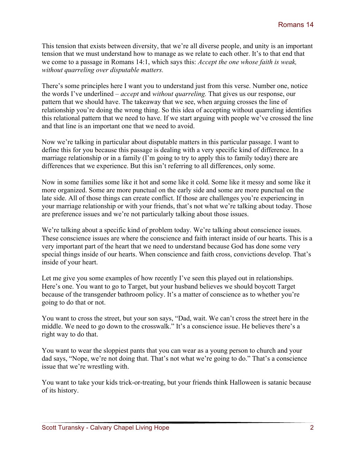This tension that exists between diversity, that we're all diverse people, and unity is an important tension that we must understand how to manage as we relate to each other. It's to that end that we come to a passage in Romans 14:1, which says this: *Accept the one whose faith is weak, without quarreling over disputable matters.* 

There's some principles here I want you to understand just from this verse. Number one, notice the words I've underlined – *accept* and *without quarreling.* That gives us our response, our pattern that we should have. The takeaway that we see, when arguing crosses the line of relationship you're doing the wrong thing. So this idea of accepting without quarreling identifies this relational pattern that we need to have. If we start arguing with people we've crossed the line and that line is an important one that we need to avoid.

Now we're talking in particular about disputable matters in this particular passage. I want to define this for you because this passage is dealing with a very specific kind of difference. In a marriage relationship or in a family (I'm going to try to apply this to family today) there are differences that we experience. But this isn't referring to all differences, only some.

Now in some families some like it hot and some like it cold. Some like it messy and some like it more organized. Some are more punctual on the early side and some are more punctual on the late side. All of those things can create conflict. If those are challenges you're experiencing in your marriage relationship or with your friends, that's not what we're talking about today. Those are preference issues and we're not particularly talking about those issues.

We're talking about a specific kind of problem today. We're talking about conscience issues. These conscience issues are where the conscience and faith interact inside of our hearts. This is a very important part of the heart that we need to understand because God has done some very special things inside of our hearts. When conscience and faith cross, convictions develop. That's inside of your heart.

Let me give you some examples of how recently I've seen this played out in relationships. Here's one. You want to go to Target, but your husband believes we should boycott Target because of the transgender bathroom policy. It's a matter of conscience as to whether you're going to do that or not.

You want to cross the street, but your son says, "Dad, wait. We can't cross the street here in the middle. We need to go down to the crosswalk." It's a conscience issue. He believes there's a right way to do that.

You want to wear the sloppiest pants that you can wear as a young person to church and your dad says, "Nope, we're not doing that. That's not what we're going to do." That's a conscience issue that we're wrestling with.

You want to take your kids trick-or-treating, but your friends think Halloween is satanic because of its history.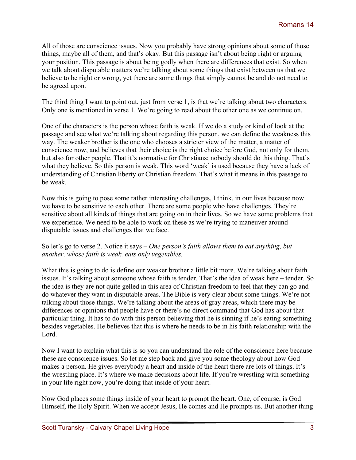All of those are conscience issues. Now you probably have strong opinions about some of those things, maybe all of them, and that's okay. But this passage isn't about being right or arguing your position. This passage is about being godly when there are differences that exist. So when we talk about disputable matters we're talking about some things that exist between us that we believe to be right or wrong, yet there are some things that simply cannot be and do not need to be agreed upon.

The third thing I want to point out, just from verse 1, is that we're talking about two characters. Only one is mentioned in verse 1. We're going to read about the other one as we continue on.

One of the characters is the person whose faith is weak. If we do a study or kind of look at the passage and see what we're talking about regarding this person, we can define the weakness this way. The weaker brother is the one who chooses a stricter view of the matter, a matter of conscience now, and believes that their choice is the right choice before God, not only for them, but also for other people. That it's normative for Christians; nobody should do this thing. That's what they believe. So this person is weak. This word 'weak' is used because they have a lack of understanding of Christian liberty or Christian freedom. That's what it means in this passage to be weak.

Now this is going to pose some rather interesting challenges, I think, in our lives because now we have to be sensitive to each other. There are some people who have challenges. They're sensitive about all kinds of things that are going on in their lives. So we have some problems that we experience. We need to be able to work on these as we're trying to maneuver around disputable issues and challenges that we face.

So let's go to verse 2. Notice it says – *One person's faith allows them to eat anything, but another, whose faith is weak, eats only vegetables.* 

What this is going to do is define our weaker brother a little bit more. We're talking about faith issues. It's talking about someone whose faith is tender. That's the idea of weak here – tender. So the idea is they are not quite gelled in this area of Christian freedom to feel that they can go and do whatever they want in disputable areas. The Bible is very clear about some things. We're not talking about those things. We're talking about the areas of gray areas, which there may be differences or opinions that people have or there's no direct command that God has about that particular thing. It has to do with this person believing that he is sinning if he's eating something besides vegetables. He believes that this is where he needs to be in his faith relationship with the Lord.

Now I want to explain what this is so you can understand the role of the conscience here because these are conscience issues. So let me step back and give you some theology about how God makes a person. He gives everybody a heart and inside of the heart there are lots of things. It's the wrestling place. It's where we make decisions about life. If you're wrestling with something in your life right now, you're doing that inside of your heart.

Now God places some things inside of your heart to prompt the heart. One, of course, is God Himself, the Holy Spirit. When we accept Jesus, He comes and He prompts us. But another thing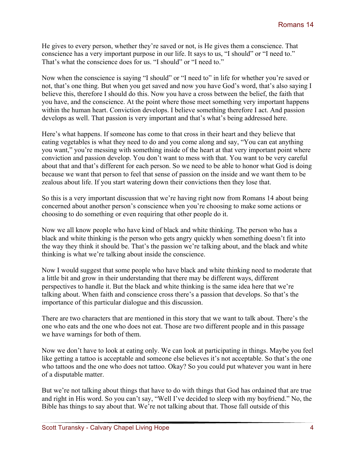He gives to every person, whether they're saved or not, is He gives them a conscience. That conscience has a very important purpose in our life. It says to us, "I should" or "I need to." That's what the conscience does for us. "I should" or "I need to."

Now when the conscience is saying "I should" or "I need to" in life for whether you're saved or not, that's one thing. But when you get saved and now you have God's word, that's also saying I believe this, therefore I should do this. Now you have a cross between the belief, the faith that you have, and the conscience. At the point where those meet something very important happens within the human heart. Conviction develops. I believe something therefore I act. And passion develops as well. That passion is very important and that's what's being addressed here.

Here's what happens. If someone has come to that cross in their heart and they believe that eating vegetables is what they need to do and you come along and say, "You can eat anything you want," you're messing with something inside of the heart at that very important point where conviction and passion develop. You don't want to mess with that. You want to be very careful about that and that's different for each person. So we need to be able to honor what God is doing because we want that person to feel that sense of passion on the inside and we want them to be zealous about life. If you start watering down their convictions then they lose that.

So this is a very important discussion that we're having right now from Romans 14 about being concerned about another person's conscience when you're choosing to make some actions or choosing to do something or even requiring that other people do it.

Now we all know people who have kind of black and white thinking. The person who has a black and white thinking is the person who gets angry quickly when something doesn't fit into the way they think it should be. That's the passion we're talking about, and the black and white thinking is what we're talking about inside the conscience.

Now I would suggest that some people who have black and white thinking need to moderate that a little bit and grow in their understanding that there may be different ways, different perspectives to handle it. But the black and white thinking is the same idea here that we're talking about. When faith and conscience cross there's a passion that develops. So that's the importance of this particular dialogue and this discussion.

There are two characters that are mentioned in this story that we want to talk about. There's the one who eats and the one who does not eat. Those are two different people and in this passage we have warnings for both of them.

Now we don't have to look at eating only. We can look at participating in things. Maybe you feel like getting a tattoo is acceptable and someone else believes it's not acceptable. So that's the one who tattoos and the one who does not tattoo. Okay? So you could put whatever you want in here of a disputable matter.

But we're not talking about things that have to do with things that God has ordained that are true and right in His word. So you can't say, "Well I've decided to sleep with my boyfriend." No, the Bible has things to say about that. We're not talking about that. Those fall outside of this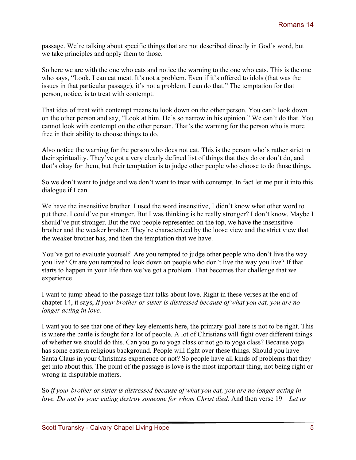passage. We're talking about specific things that are not described directly in God's word, but we take principles and apply them to those.

So here we are with the one who eats and notice the warning to the one who eats. This is the one who says, "Look, I can eat meat. It's not a problem. Even if it's offered to idols (that was the issues in that particular passage), it's not a problem. I can do that." The temptation for that person, notice, is to treat with contempt.

That idea of treat with contempt means to look down on the other person. You can't look down on the other person and say, "Look at him. He's so narrow in his opinion." We can't do that. You cannot look with contempt on the other person. That's the warning for the person who is more free in their ability to choose things to do.

Also notice the warning for the person who does not eat. This is the person who's rather strict in their spirituality. They've got a very clearly defined list of things that they do or don't do, and that's okay for them, but their temptation is to judge other people who choose to do those things.

So we don't want to judge and we don't want to treat with contempt. In fact let me put it into this dialogue if I can.

We have the insensitive brother. I used the word insensitive, I didn't know what other word to put there. I could've put stronger. But I was thinking is he really stronger? I don't know. Maybe I should've put stronger. But the two people represented on the top, we have the insensitive brother and the weaker brother. They're characterized by the loose view and the strict view that the weaker brother has, and then the temptation that we have.

You've got to evaluate yourself. Are you tempted to judge other people who don't live the way you live? Or are you tempted to look down on people who don't live the way you live? If that starts to happen in your life then we've got a problem. That becomes that challenge that we experience.

I want to jump ahead to the passage that talks about love. Right in these verses at the end of chapter 14, it says, *If your brother or sister is distressed because of what you eat, you are no longer acting in love.* 

I want you to see that one of they key elements here, the primary goal here is not to be right. This is where the battle is fought for a lot of people. A lot of Christians will fight over different things of whether we should do this. Can you go to yoga class or not go to yoga class? Because yoga has some eastern religious background. People will fight over these things. Should you have Santa Claus in your Christmas experience or not? So people have all kinds of problems that they get into about this. The point of the passage is love is the most important thing, not being right or wrong in disputable matters.

So *if your brother or sister is distressed because of what you eat, you are no longer acting in love. Do not by your eating destroy someone for whom Christ died.* And then verse 19 – *Let us*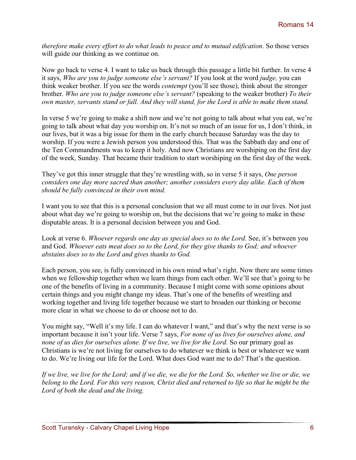*therefore make every effort to do what leads to peace and to mutual edification.* So those verses will guide our thinking as we continue on.

Now go back to verse 4. I want to take us back through this passage a little bit further. In verse 4 it says, *Who are you to judge someone else's servant?* If you look at the word *judge,* you can think weaker brother. If you see the words *contempt* (you'll see those), think about the stronger brother. *Who are you to judge someone else's servant?* (speaking to the weaker brother) *To their own master, servants stand or fall. And they will stand, for the Lord is able to make them stand.*

In verse 5 we're going to make a shift now and we're not going to talk about what you eat, we're going to talk about what day you worship on. It's not so much of an issue for us, I don't think, in our lives, but it was a big issue for them in the early church because Saturday was the day to worship. If you were a Jewish person you understood this. That was the Sabbath day and one of the Ten Commandments was to keep it holy. And now Christians are worshiping on the first day of the week, Sunday. That became their tradition to start worshiping on the first day of the week.

They've got this inner struggle that they're wrestling with, so in verse 5 it says, *One person considers one day more sacred than another; another considers every day alike. Each of them should be fully convinced in their own mind.* 

I want you to see that this is a personal conclusion that we all must come to in our lives. Not just about what day we're going to worship on, but the decisions that we're going to make in these disputable areas. It is a personal decision between you and God.

Look at verse 6. Whoever regards one day as special does so to the Lord. See, it's between you and God. *Whoever eats meat does so to the Lord, for they give thanks to God; and whoever abstains does so to the Lord and gives thanks to God.* 

Each person, you see, is fully convinced in his own mind what's right. Now there are some times when we fellowship together when we learn things from each other. We'll see that's going to be one of the benefits of living in a community. Because I might come with some opinions about certain things and you might change my ideas. That's one of the benefits of wrestling and working together and living life together because we start to broaden our thinking or become more clear in what we choose to do or choose not to do.

You might say, "Well it's my life. I can do whatever I want," and that's why the next verse is so important because it isn't your life. Verse 7 says, *For none of us lives for ourselves alone, and none of us dies for ourselves alone. If we live, we live for the Lord.* So our primary goal as Christians is we're not living for ourselves to do whatever we think is best or whatever we want to do. We're living our life for the Lord. What does God want me to do? That's the question.

*If we live, we live for the Lord; and if we die, we die for the Lord. So, whether we live or die, we belong to the Lord. For this very reason, Christ died and returned to life so that he might be the Lord of both the dead and the living.*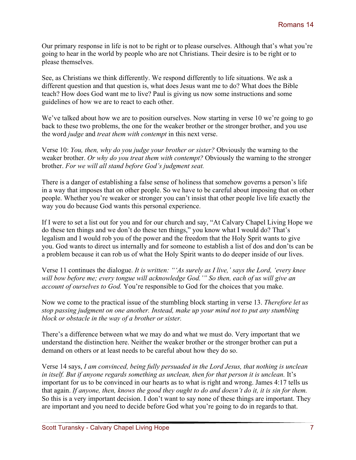Our primary response in life is not to be right or to please ourselves. Although that's what you're going to hear in the world by people who are not Christians. Their desire is to be right or to please themselves.

See, as Christians we think differently. We respond differently to life situations. We ask a different question and that question is, what does Jesus want me to do? What does the Bible teach? How does God want me to live? Paul is giving us now some instructions and some guidelines of how we are to react to each other.

We've talked about how we are to position ourselves. Now starting in verse 10 we're going to go back to these two problems, the one for the weaker brother or the stronger brother, and you use the word *judge* and *treat them with contempt* in this next verse.

Verse 10: *You, then, why do you judge your brother or sister?* Obviously the warning to the weaker brother. *Or why do you treat them with contempt?* Obviously the warning to the stronger brother. *For we will all stand before God's judgment seat.* 

There is a danger of establishing a false sense of holiness that somehow governs a person's life in a way that imposes that on other people. So we have to be careful about imposing that on other people. Whether you're weaker or stronger you can't insist that other people live life exactly the way you do because God wants this personal experience.

If I were to set a list out for you and for our church and say, "At Calvary Chapel Living Hope we do these ten things and we don't do these ten things," you know what I would do? That's legalism and I would rob you of the power and the freedom that the Holy Sprit wants to give you. God wants to direct us internally and for someone to establish a list of dos and don'ts can be a problem because it can rob us of what the Holy Spirit wants to do deeper inside of our lives.

Verse 11 continues the dialogue. *It is written: "'As surely as I live,' says the Lord, 'every knee will bow before me; every tongue will acknowledge God.'" So then, each of us will give an account of ourselves to God.* You're responsible to God for the choices that you make.

Now we come to the practical issue of the stumbling block starting in verse 13. *Therefore let us stop passing judgment on one another. Instead, make up your mind not to put any stumbling block or obstacle in the way of a brother or sister.* 

There's a difference between what we may do and what we must do. Very important that we understand the distinction here. Neither the weaker brother or the stronger brother can put a demand on others or at least needs to be careful about how they do so.

Verse 14 says, *I am convinced, being fully persuaded in the Lord Jesus, that nothing is unclean*  in *itself. But if anyone regards something as unclean, then for that person it is unclean.* It's important for us to be convinced in our hearts as to what is right and wrong. James 4:17 tells us that again. *If anyone, then, knows the good they ought to do and doesn't do it, it is sin for them.*  So this is a very important decision. I don't want to say none of these things are important. They are important and you need to decide before God what you're going to do in regards to that.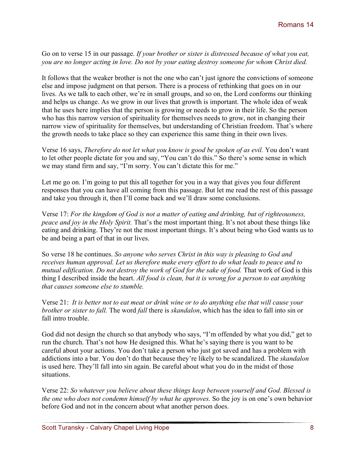Go on to verse 15 in our passage. *If your brother or sister is distressed because of what you eat, you are no longer acting in love. Do not by your eating destroy someone for whom Christ died.* 

It follows that the weaker brother is not the one who can't just ignore the convictions of someone else and impose judgment on that person. There is a process of rethinking that goes on in our lives. As we talk to each other, we're in small groups, and so on, the Lord conforms our thinking and helps us change. As we grow in our lives that growth is important. The whole idea of weak that he uses here implies that the person is growing or needs to grow in their life. So the person who has this narrow version of spirituality for themselves needs to grow, not in changing their narrow view of spirituality for themselves, but understanding of Christian freedom. That's where the growth needs to take place so they can experience this same thing in their own lives.

Verse 16 says, *Therefore do not let what you know is good be spoken of as evil.* You don't want to let other people dictate for you and say, "You can't do this." So there's some sense in which we may stand firm and say, "I'm sorry. You can't dictate this for me."

Let me go on. I'm going to put this all together for you in a way that gives you four different responses that you can have all coming from this passage. But let me read the rest of this passage and take you through it, then I'll come back and we'll draw some conclusions.

Verse 17: *For the kingdom of God is not a matter of eating and drinking, but of righteousness, peace and joy in the Holy Spirit.* That's the most important thing. It's not about these things like eating and drinking. They're not the most important things. It's about being who God wants us to be and being a part of that in our lives.

So verse 18 he continues. *So anyone who serves Christ in this way is pleasing to God and receives human approval. Let us therefore make every effort to do what leads to peace and to mutual edification. Do not destroy the work of God for the sake of food.* That work of God is this thing I described inside the heart. *All food is clean, but it is wrong for a person to eat anything that causes someone else to stumble.*

Verse 21: *It is better not to eat meat or drink wine or to do anything else that will cause your brother or sister to fall.* The word *fall* there is *skandalon*, which has the idea to fall into sin or fall intro trouble.

God did not design the church so that anybody who says, "I'm offended by what you did," get to run the church. That's not how He designed this. What he's saying there is you want to be careful about your actions. You don't take a person who just got saved and has a problem with addictions into a bar. You don't do that because they're likely to be scandalized. The *skandalon* is used here. They'll fall into sin again. Be careful about what you do in the midst of those situations.

Verse 22: *So whatever you believe about these things keep between yourself and God. Blessed is the one who does not condemn himself by what he approves.* So the joy is on one's own behavior before God and not in the concern about what another person does.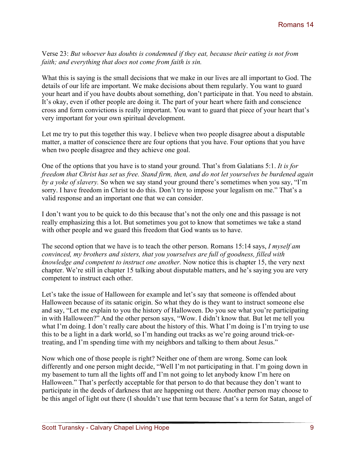Verse 23: *But whoever has doubts is condemned if they eat, because their eating is not from faith; and everything that does not come from faith is sin.*

What this is saying is the small decisions that we make in our lives are all important to God. The details of our life are important. We make decisions about them regularly. You want to guard your heart and if you have doubts about something, don't participate in that. You need to abstain. It's okay, even if other people are doing it. The part of your heart where faith and conscience cross and form convictions is really important. You want to guard that piece of your heart that's very important for your own spiritual development.

Let me try to put this together this way. I believe when two people disagree about a disputable matter, a matter of conscience there are four options that you have. Four options that you have when two people disagree and they achieve one goal.

One of the options that you have is to stand your ground. That's from Galatians 5:1. *It is for freedom that Christ has set us free. Stand firm, then, and do not let yourselves be burdened again by a yoke of slavery.* So when we say stand your ground there's sometimes when you say, "I'm sorry. I have freedom in Christ to do this. Don't try to impose your legalism on me." That's a valid response and an important one that we can consider.

I don't want you to be quick to do this because that's not the only one and this passage is not really emphasizing this a lot. But sometimes you got to know that sometimes we take a stand with other people and we guard this freedom that God wants us to have.

The second option that we have is to teach the other person. Romans 15:14 says, *I myself am convinced, my brothers and sisters, that you yourselves are full of goodness, filled with knowledge and competent to instruct one another.* Now notice this is chapter 15, the very next chapter. We're still in chapter 15 talking about disputable matters, and he's saying you are very competent to instruct each other.

Let's take the issue of Halloween for example and let's say that someone is offended about Halloween because of its satanic origin. So what they do is they want to instruct someone else and say, "Let me explain to you the history of Halloween. Do you see what you're participating in with Halloween?" And the other person says, "Wow. I didn't know that. But let me tell you what I'm doing. I don't really care about the history of this. What I'm doing is I'm trying to use this to be a light in a dark world, so I'm handing out tracks as we're going around trick-ortreating, and I'm spending time with my neighbors and talking to them about Jesus."

Now which one of those people is right? Neither one of them are wrong. Some can look differently and one person might decide, "Well I'm not participating in that. I'm going down in my basement to turn all the lights off and I'm not going to let anybody know I'm here on Halloween." That's perfectly acceptable for that person to do that because they don't want to participate in the deeds of darkness that are happening out there. Another person may choose to be this angel of light out there (I shouldn't use that term because that's a term for Satan, angel of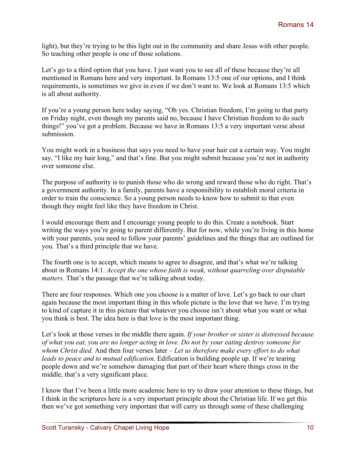light), but they're trying to be this light out in the community and share Jesus with other people. So teaching other people is one of those solutions.

Let's go to a third option that you have. I just want you to see all of these because they're all mentioned in Romans here and very important. In Romans 13:5 one of our options, and I think requirements, is sometimes we give in even if we don't want to. We look at Romans 13:5 which is all about authority.

If you're a young person here today saying, "Oh yes. Christian freedom, I'm going to that party on Friday night, even though my parents said no, because I have Christian freedom to do such things!" you've got a problem. Because we have in Romans 13:5 a very important verse about submission.

You might work in a business that says you need to have your hair cut a certain way. You might say, "I like my hair long," and that's fine. But you might submit because you're not in authority over someone else.

The purpose of authority is to punish those who do wrong and reward those who do right. That's a government authority. In a family, parents have a responsibility to establish moral criteria in order to train the conscience. So a young person needs to know how to submit to that even though they might feel like they have freedom in Christ.

I would encourage them and I encourage young people to do this. Create a notebook. Start writing the ways you're going to parent differently. But for now, while you're living in this home with your parents, you need to follow your parents' guidelines and the things that are outlined for you. That's a third principle that we have.

The fourth one is to accept, which means to agree to disagree, and that's what we're talking about in Romans 14:1. *Accept the one whose faith is weak, without quarreling over disputable matters.* That's the passage that we're talking about today.

There are four responses. Which one you choose is a matter of love. Let's go back to our chart again because the most important thing in this whole picture is the love that we have. I'm trying to kind of capture it in this picture that whatever you choose isn't about what you want or what you think is best. The idea here is that love is the most important thing.

Let's look at those verses in the middle there again. *If your brother or sister is distressed because of what you eat, you are no longer acting in love. Do not by your eating destroy someone for whom Christ died.* And then four verses later – *Let us therefore make every effort to do what leads to peace and to mutual edification.* Edification is building people up. If we're tearing people down and we're somehow damaging that part of their heart where things cross in the middle, that's a very significant place.

I know that I've been a little more academic here to try to draw your attention to these things, but I think in the scriptures here is a very important principle about the Christian life. If we get this then we've got something very important that will carry us through some of these challenging